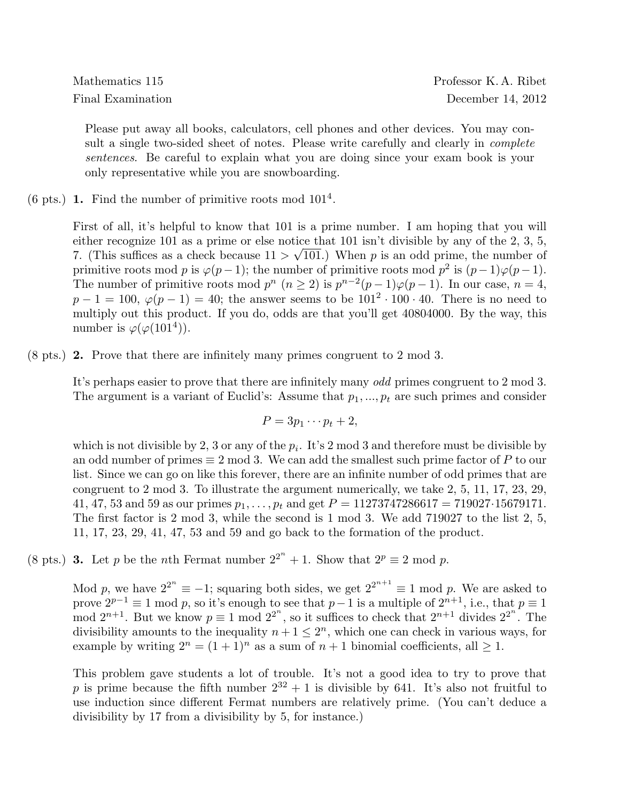Please put away all books, calculators, cell phones and other devices. You may consult a single two-sided sheet of notes. Please write carefully and clearly in *complete* sentences. Be careful to explain what you are doing since your exam book is your only representative while you are snowboarding.

(6 pts.) 1. Find the number of primitive roots mod  $101<sup>4</sup>$ .

First of all, it's helpful to know that 101 is a prime number. I am hoping that you will either recognize 101 as a prime or else notice that 101 isn't divisible by any of the 2, 3, 5, 7. (This suffices as a check because  $11 > \sqrt{101}$ ) When p is an odd prime, the number of primitive roots mod p is  $\varphi(p-1)$ ; the number of primitive roots mod  $p^2$  is  $(p-1)\varphi(p-1)$ . The number of primitive roots mod  $p^{n} (n \geq 2)$  is  $p^{n-2}(p-1)\varphi(p-1)$ . In our case,  $n=4$ ,  $p-1=100, \varphi(p-1)=40$ ; the answer seems to be  $101^2 \cdot 100 \cdot 40$ . There is no need to multiply out this product. If you do, odds are that you'll get 40804000. By the way, this number is  $\varphi(\varphi(101^4))$ .

 $(8 \text{ pts.})$  **2.** Prove that there are infinitely many primes congruent to 2 mod 3.

It's perhaps easier to prove that there are infinitely many odd primes congruent to 2 mod 3. The argument is a variant of Euclid's: Assume that  $p_1, ..., p_t$  are such primes and consider

$$
P=3p_1\cdots p_t+2,
$$

which is not divisible by 2, 3 or any of the  $p_i$ . It's 2 mod 3 and therefore must be divisible by an odd number of primes  $\equiv 2 \mod 3$ . We can add the smallest such prime factor of P to our list. Since we can go on like this forever, there are an infinite number of odd primes that are congruent to 2 mod 3. To illustrate the argument numerically, we take 2, 5, 11, 17, 23, 29, 41, 47, 53 and 59 as our primes  $p_1, \ldots, p_t$  and get  $P = 11273747286617 = 719027 \cdot 15679171$ . The first factor is 2 mod 3, while the second is 1 mod 3. We add 719027 to the list 2, 5, 11, 17, 23, 29, 41, 47, 53 and 59 and go back to the formation of the product.

(8 pts.) **3.** Let p be the nth Fermat number  $2^{2^n} + 1$ . Show that  $2^p \equiv 2 \mod p$ .

Mod p, we have  $2^{2^n} \equiv -1$ ; squaring both sides, we get  $2^{2^{n+1}} \equiv 1 \mod p$ . We are asked to prove  $2^{p-1} \equiv 1 \mod p$ , so it's enough to see that  $p-1$  is a multiple of  $2^{n+1}$ , i.e., that  $p \equiv 1$ mod  $2^{n+1}$ . But we know  $p \equiv 1 \mod 2^{2^n}$ , so it suffices to check that  $2^{n+1}$  divides  $2^{2^n}$ . The divisibility amounts to the inequality  $n+1 \leq 2^n$ , which one can check in various ways, for example by writing  $2^n = (1 + 1)^n$  as a sum of  $n + 1$  binomial coefficients, all  $\geq 1$ .

This problem gave students a lot of trouble. It's not a good idea to try to prove that p is prime because the fifth number  $2^{32} + 1$  is divisible by 641. It's also not fruitful to use induction since different Fermat numbers are relatively prime. (You can't deduce a divisibility by 17 from a divisibility by 5, for instance.)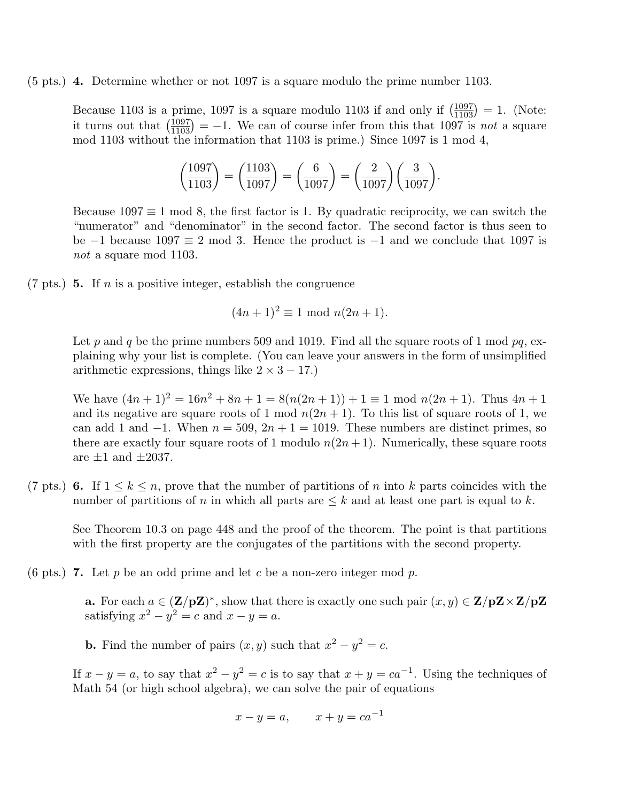## $(5 \text{ pts.})$  4. Determine whether or not 1097 is a square modulo the prime number 1103.

Because 1103 is a prime, 1097 is a square modulo 1103 if and only if  $\left(\frac{1097}{1103}\right) = 1$ . (Note: it turns out that  $\left(\frac{1097}{1103}\right) = -1$ . We can of course infer from this that 1097 is not a square mod 1103 without the information that 1103 is prime.) Since 1097 is 1 mod 4,

$$
\left(\frac{1097}{1103}\right) = \left(\frac{1103}{1097}\right) = \left(\frac{6}{1097}\right) = \left(\frac{2}{1097}\right)\left(\frac{3}{1097}\right).
$$

Because  $1097 \equiv 1 \mod 8$ , the first factor is 1. By quadratic reciprocity, we can switch the "numerator" and "denominator" in the second factor. The second factor is thus seen to be  $-1$  because  $1097 \equiv 2 \mod 3$ . Hence the product is  $-1$  and we conclude that 1097 is not a square mod 1103.

 $(7 \text{ pts.})$  5. If *n* is a positive integer, establish the congruence

$$
(4n+1)^2 \equiv 1 \mod n(2n+1).
$$

Let p and q be the prime numbers 509 and 1019. Find all the square roots of 1 mod  $pq$ , explaining why your list is complete. (You can leave your answers in the form of unsimplified arithmetic expressions, things like  $2 \times 3 - 17$ .)

We have  $(4n+1)^2 = 16n^2 + 8n + 1 = 8(n(2n+1)) + 1 \equiv 1 \mod n(2n+1)$ . Thus  $4n+1$ and its negative are square roots of 1 mod  $n(2n + 1)$ . To this list of square roots of 1, we can add 1 and  $-1$ . When  $n = 509$ ,  $2n + 1 = 1019$ . These numbers are distinct primes, so there are exactly four square roots of 1 modulo  $n(2n+1)$ . Numerically, these square roots are  $\pm 1$  and  $\pm 2037$ .

(7 pts.) 6. If  $1 \leq k \leq n$ , prove that the number of partitions of n into k parts coincides with the number of partitions of n in which all parts are  $\leq k$  and at least one part is equal to k.

See Theorem 10.3 on page 448 and the proof of the theorem. The point is that partitions with the first property are the conjugates of the partitions with the second property.

(6 pts.) **7.** Let p be an odd prime and let c be a non-zero integer mod p.

**a.** For each  $a \in (\mathbf{Z}/p\mathbf{Z})^*$ , show that there is exactly one such pair  $(x, y) \in \mathbf{Z}/p\mathbf{Z} \times \mathbf{Z}/p\mathbf{Z}$ satisfying  $x^2 - y^2 = c$  and  $x - y = a$ .

**b.** Find the number of pairs  $(x, y)$  such that  $x^2 - y^2 = c$ .

If  $x - y = a$ , to say that  $x^2 - y^2 = c$  is to say that  $x + y = ca^{-1}$ . Using the techniques of Math 54 (or high school algebra), we can solve the pair of equations

$$
x - y = a, \qquad x + y = ca^{-1}
$$